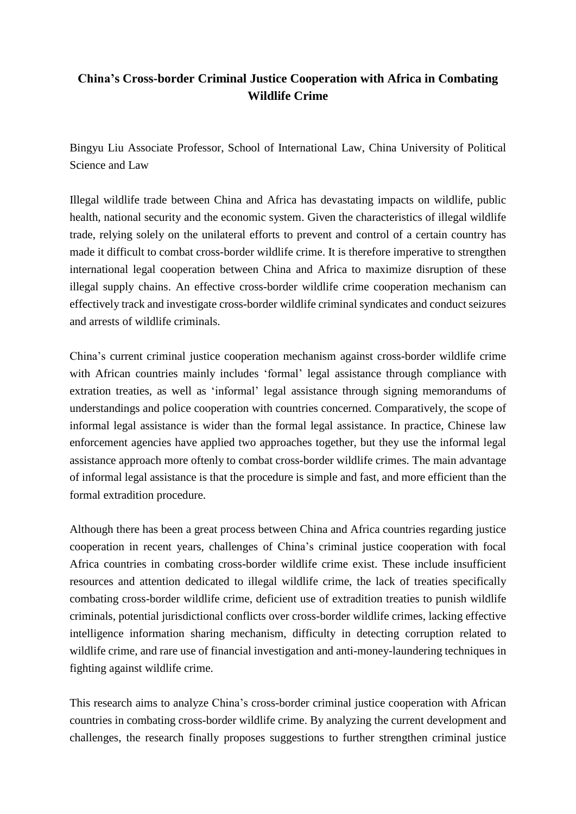## **China's Cross-border Criminal Justice Cooperation with Africa in Combating Wildlife Crime**

Bingyu Liu Associate Professor, School of International Law, China University of Political Science and Law

Illegal wildlife trade between China and Africa has devastating impacts on wildlife, public health, national security and the economic system. Given the characteristics of illegal wildlife trade, relying solely on the unilateral efforts to prevent and control of a certain country has made it difficult to combat cross-border wildlife crime. It is therefore imperative to strengthen international legal cooperation between China and Africa to maximize disruption of these illegal supply chains. An effective cross-border wildlife crime cooperation mechanism can effectively track and investigate cross-border wildlife criminal syndicates and conduct seizures and arrests of wildlife criminals.

China's current criminal justice cooperation mechanism against cross-border wildlife crime with African countries mainly includes 'formal' legal assistance through compliance with extration treaties, as well as 'informal' legal assistance through signing memorandums of understandings and police cooperation with countries concerned. Comparatively, the scope of informal legal assistance is wider than the formal legal assistance. In practice, Chinese law enforcement agencies have applied two approaches together, but they use the informal legal assistance approach more oftenly to combat cross-border wildlife crimes. The main advantage of informal legal assistance is that the procedure is simple and fast, and more efficient than the formal extradition procedure.

Although there has been a great process between China and Africa countries regarding justice cooperation in recent years, challenges of China's criminal justice cooperation with focal Africa countries in combating cross-border wildlife crime exist. These include insufficient resources and attention dedicated to illegal wildlife crime, the lack of treaties specifically combating cross-border wildlife crime, deficient use of extradition treaties to punish wildlife criminals, potential jurisdictional conflicts over cross-border wildlife crimes, lacking effective intelligence information sharing mechanism, difficulty in detecting corruption related to wildlife crime, and rare use of financial investigation and anti-money-laundering techniques in fighting against wildlife crime.

This research aims to analyze China's cross-border criminal justice cooperation with African countries in combating cross-border wildlife crime. By analyzing the current development and challenges, the research finally proposes suggestions to further strengthen criminal justice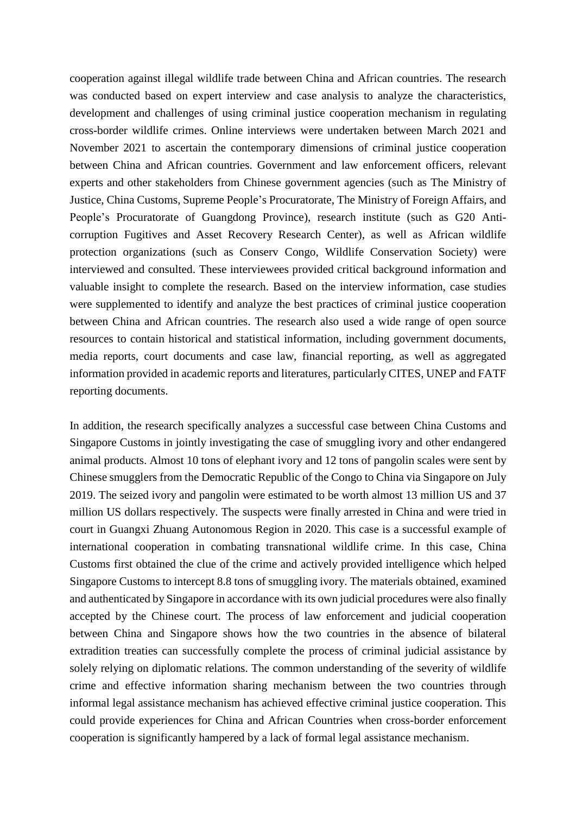cooperation against illegal wildlife trade between China and African countries. The research was conducted based on expert interview and case analysis to analyze the characteristics, development and challenges of using criminal justice cooperation mechanism in regulating cross-border wildlife crimes. Online interviews were undertaken between March 2021 and November 2021 to ascertain the contemporary dimensions of criminal justice cooperation between China and African countries. Government and law enforcement officers, relevant experts and other stakeholders from Chinese government agencies (such as The Ministry of Justice, China Customs, Supreme People's Procuratorate, The Ministry of Foreign Affairs, and People's Procuratorate of Guangdong Province), research institute (such as G20 Anticorruption Fugitives and Asset Recovery Research Center), as well as African wildlife protection organizations (such as Conserv Congo, Wildlife Conservation Society) were interviewed and consulted. These interviewees provided critical background information and valuable insight to complete the research. Based on the interview information, case studies were supplemented to identify and analyze the best practices of criminal justice cooperation between China and African countries. The research also used a wide range of open source resources to contain historical and statistical information, including government documents, media reports, court documents and case law, financial reporting, as well as aggregated information provided in academic reports and literatures, particularly CITES, UNEP and FATF reporting documents.

In addition, the research specifically analyzes a successful case between China Customs and Singapore Customs in jointly investigating the case of smuggling ivory and other endangered animal products. Almost 10 tons of elephant ivory and 12 tons of pangolin scales were sent by Chinese smugglers from the Democratic Republic of the Congo to China via Singapore on July 2019. The seized ivory and pangolin were estimated to be worth almost 13 million US and 37 million US dollars respectively. The suspects were finally arrested in China and were tried in court in Guangxi Zhuang Autonomous Region in 2020. This case is a successful example of international cooperation in combating transnational wildlife crime. In this case, China Customs first obtained the clue of the crime and actively provided intelligence which helped Singapore Customs to intercept 8.8 tons of smuggling ivory. The materials obtained, examined and authenticated by Singapore in accordance with its own judicial procedures were also finally accepted by the Chinese court. The process of law enforcement and judicial cooperation between China and Singapore shows how the two countries in the absence of bilateral extradition treaties can successfully complete the process of criminal judicial assistance by solely relying on diplomatic relations. The common understanding of the severity of wildlife crime and effective information sharing mechanism between the two countries through informal legal assistance mechanism has achieved effective criminal justice cooperation. This could provide experiences for China and African Countries when cross-border enforcement cooperation is significantly hampered by a lack of formal legal assistance mechanism.